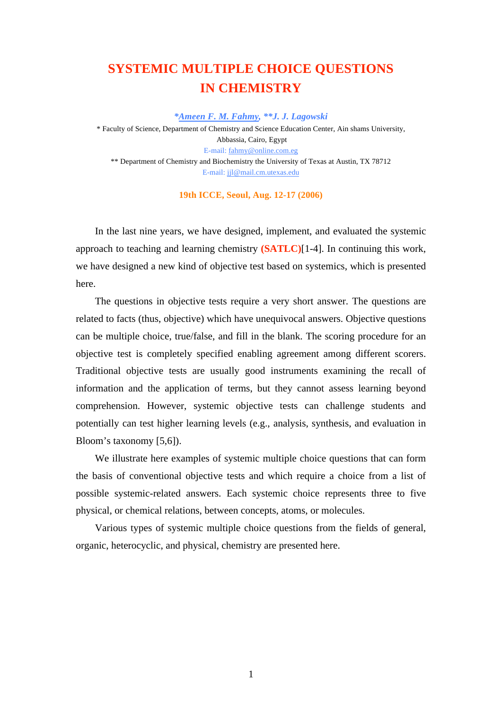# **SYSTEMIC MULTIPLE CHOICE QUESTIONS IN CHEMISTRY**

*\*Ameen F. M. Fahmy, \*\*J. J. Lagowski* 

\* Faculty of Science, Department of Chemistry and Science Education Center, Ain shams University, Abbassia, Cairo, Egypt E-mail: fahmy@online.com.eg \*\* Department of Chemistry and Biochemistry the University of Texas at Austin, TX 78712 E-mail: jjl@mail.cm.utexas.edu

**19th ICCE, Seoul, Aug. 12-17 (2006)** 

In the last nine years, we have designed, implement, and evaluated the systemic approach to teaching and learning chemistry **(SATLC)**[1-4]. In continuing this work, we have designed a new kind of objective test based on systemics, which is presented here.

The questions in objective tests require a very short answer. The questions are related to facts (thus, objective) which have unequivocal answers. Objective questions can be multiple choice, true/false, and fill in the blank. The scoring procedure for an objective test is completely specified enabling agreement among different scorers. Traditional objective tests are usually good instruments examining the recall of information and the application of terms, but they cannot assess learning beyond comprehension. However, systemic objective tests can challenge students and potentially can test higher learning levels (e.g., analysis, synthesis, and evaluation in Bloom's taxonomy [5,6]).

We illustrate here examples of systemic multiple choice questions that can form the basis of conventional objective tests and which require a choice from a list of possible systemic-related answers. Each systemic choice represents three to five physical, or chemical relations, between concepts, atoms, or molecules.

Various types of systemic multiple choice questions from the fields of general, organic, heterocyclic, and physical, chemistry are presented here.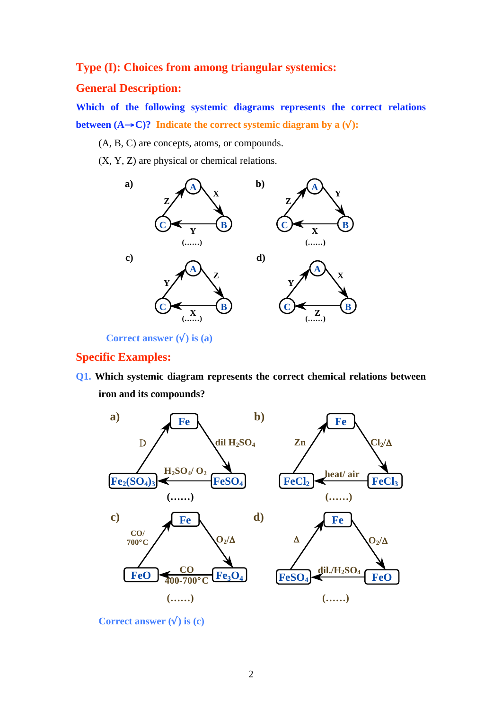## **Type (I): Choices from among triangular systemics:**

## **General Description:**

**Which of the following systemic diagrams represents the correct relations between**  $(A \rightarrow C)$ ? Indicate the correct systemic diagram by a  $(\sqrt{\ })$ :

(A, B, C) are concepts, atoms, or compounds.

(X, Y, Z) are physical or chemical relations.



**Correct answer**  $(\sqrt{})$  **is (a)** 

## **Specific Examples:**

**Q1. Which systemic diagram represents the correct chemical relations between iron and its compounds?**



**Correct answer**  $(\sqrt{})$  is  $(c)$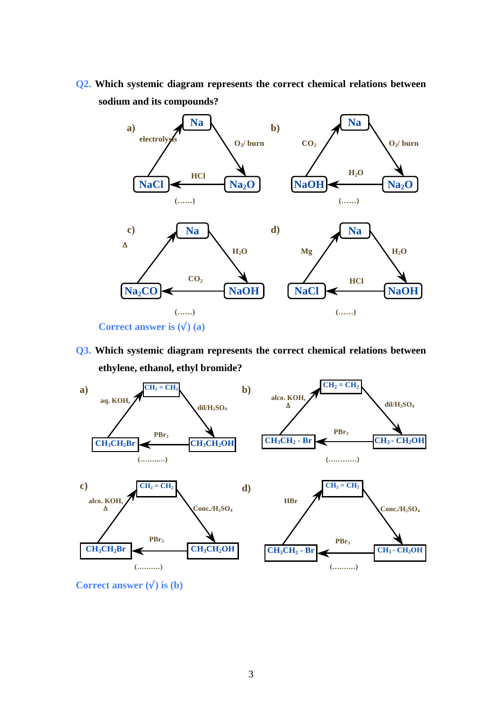**Q2. Which systemic diagram represents the correct chemical relations between sodium and its compounds?** 



**Q3. Which systemic diagram represents the correct chemical relations between ethylene, ethanol, ethyl bromide?** 



**Correct answer**  $(\sqrt{})$  is  $(b)$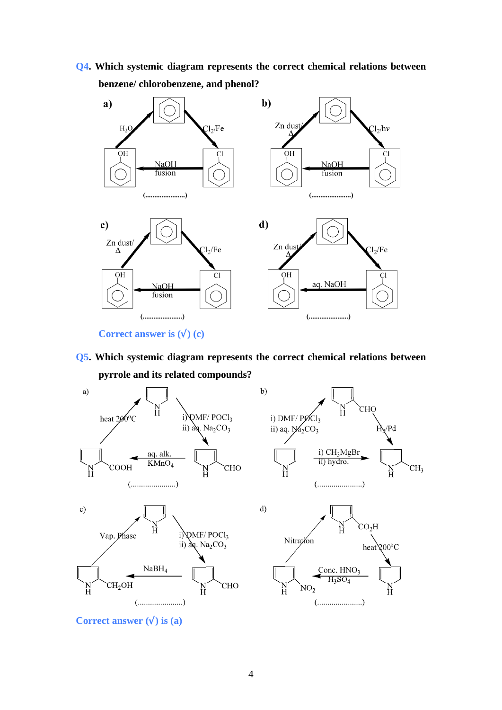**Q4. Which systemic diagram represents the correct chemical relations between benzene/ chlorobenzene, and phenol?** 



**Correct answer is**  $(\sqrt{})$  **(c)** 

**Q5. Which systemic diagram represents the correct chemical relations between pyrrole and its related compounds?** 



**Correct answer**  $(\sqrt{})$  is (a)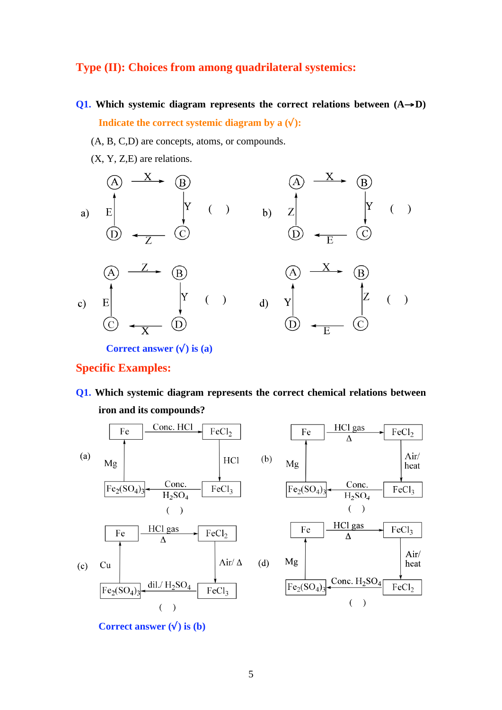## **Type (II): Choices from among quadrilateral systemics:**

- **Q1.** Which systemic diagram represents the correct relations between  $(A \rightarrow D)$ **Indicate the correct systemic diagram by a**  $(\sqrt{\ })$ **:** 
	- (A, B, C,D) are concepts, atoms, or compounds.
	- (X, Y, Z,E) are relations.



**Specific Examples:** 

**Q1. Which systemic diagram represents the correct chemical relations between iron and its compounds?**



**Correct answer**  $(\sqrt{})$  is  $(b)$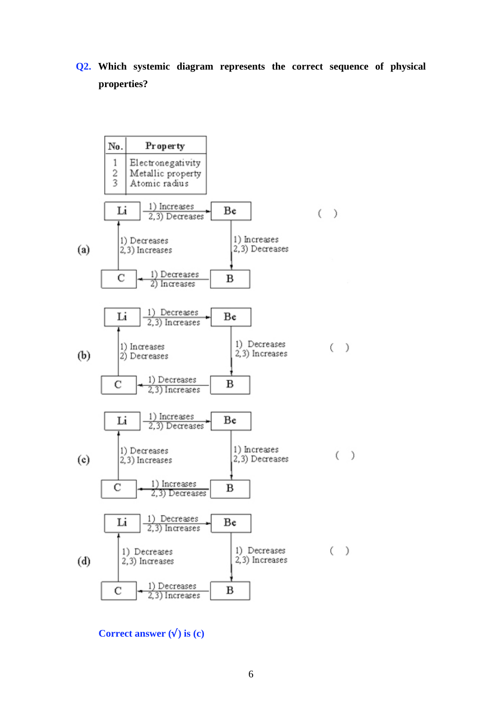**Q2. Which systemic diagram represents the correct sequence of physical properties?** 



**Correct answer**  $(\sqrt{})$  **is**  $(c)$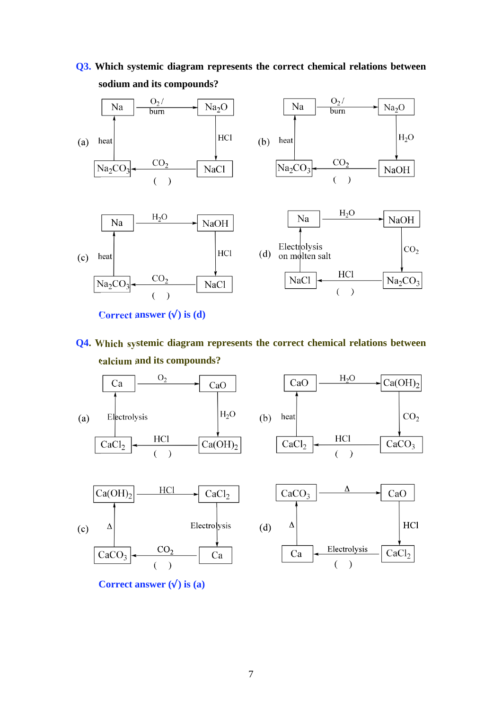

**Q3. Which systemic diagram represents the correct chemical relations between sodium and its compounds?** 

- **Correct answer**  $(\sqrt{})$  **is**  $(d)$
- **Q4. Which systemic diagram represents the correct chemical relations between calcium and its compounds?**

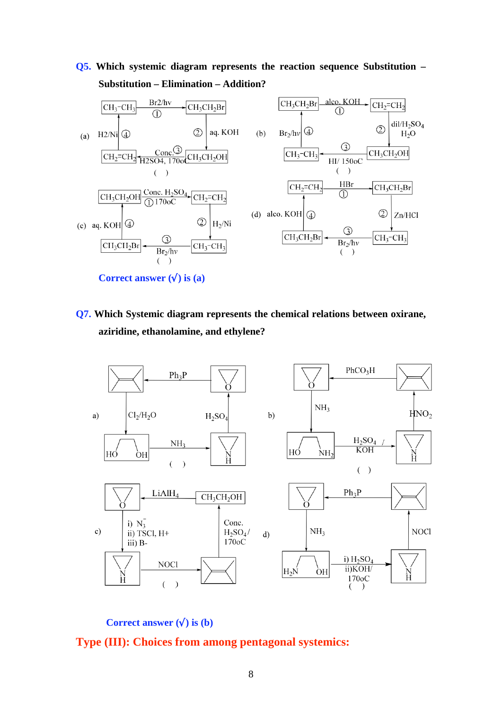**Q5. Which systemic diagram represents the reaction sequence Substitution – Substitution – Elimination – Addition?** 



**Q7. Which Systemic diagram represents the chemical relations between oxirane, aziridine, ethanolamine, and ethylene?**



**Correct answer**  $(\sqrt{})$  is  $(b)$ 

### **Type (III): Choices from among pentagonal systemics:**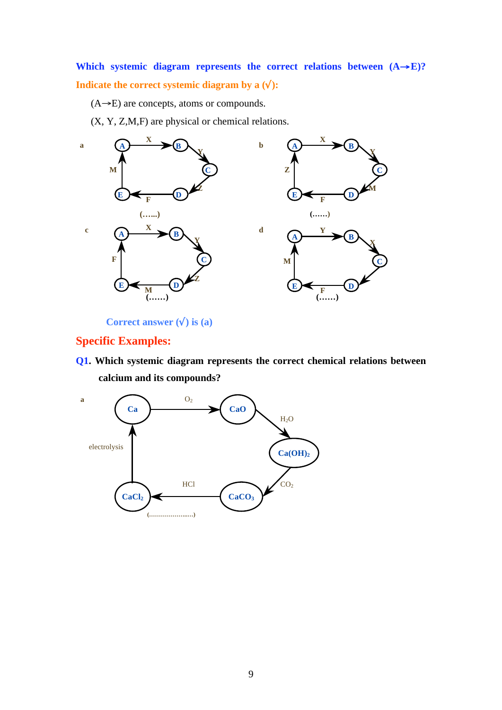## Which systemic diagram represents the correct relations between  $(A \rightarrow E)$ ? **Indicate the correct systemic diagram by a**  $(\sqrt{\ })$ **:**

 $(A \rightarrow E)$  are concepts, atoms or compounds.

(X, Y, Z,M,F) are physical or chemical relations.



**Correct answer () is (a)** 

## **Specific Examples:**

**Q1. Which systemic diagram represents the correct chemical relations between calcium and its compounds?**

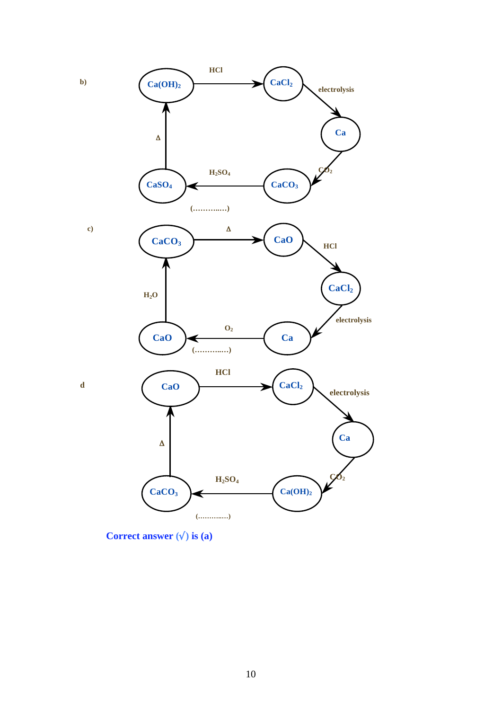

**Correct answer () is (a)**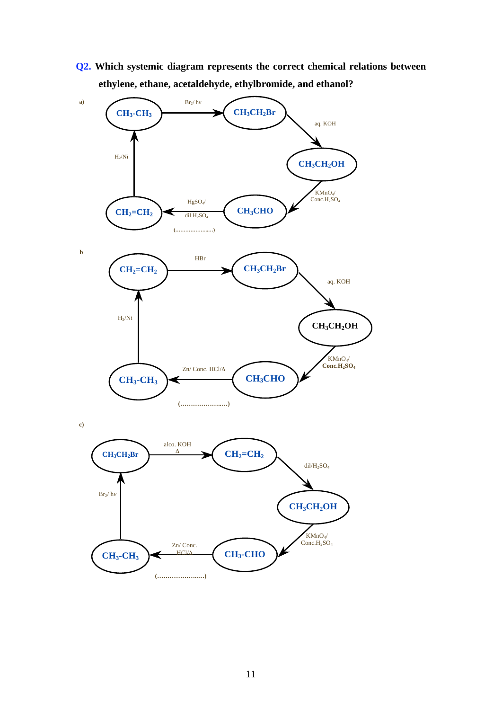**Q2. Which systemic diagram represents the correct chemical relations between ethylene, ethane, acetaldehyde, ethylbromide, and ethanol?**

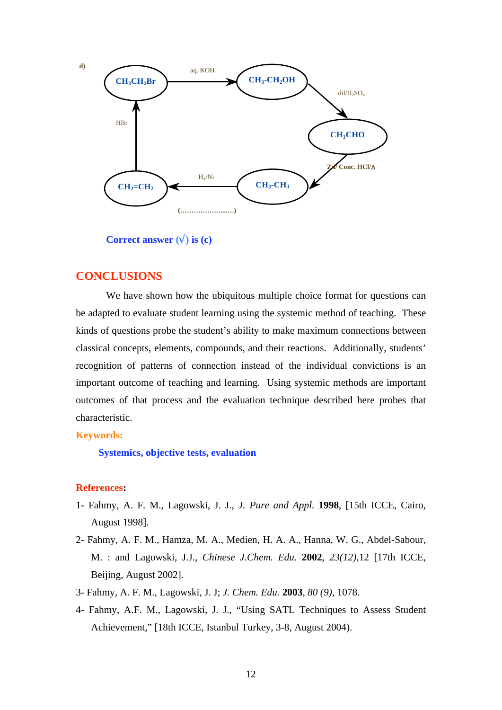

**Correct answer**  $(\sqrt{})$  is  $(c)$ 

## **CONCLUSIONS**

We have shown how the ubiquitous multiple choice format for questions can be adapted to evaluate student learning using the systemic method of teaching. These kinds of questions probe the student's ability to make maximum connections between classical concepts, elements, compounds, and their reactions. Additionally, students' recognition of patterns of connection instead of the individual convictions is an important outcome of teaching and learning. Using systemic methods are important outcomes of that process and the evaluation technique described here probes that characteristic.

### **Keywords:**

**Systemics, objective tests, evaluation** 

#### **References:**

- 1- Fahmy, A. F. M., Lagowski, J. J., *J. Pure and Appl.* **1998**, [15th ICCE, Cairo, August 1998].
- 2- Fahmy, A. F. M., Hamza, M. A., Medien, H. A. A., Hanna, W. G., Abdel-Sabour, M. : and Lagowski, J.J., *Chinese J.Chem. Edu.* **2002**, *23(12)*,12 [17th ICCE, Beijing, August 2002].
- 3- Fahmy, A. F. M., Lagowski, J. J; *J. Chem. Edu.* **2003**, *80 (9)*, 1078.
- 4- Fahmy, A.F. M., Lagowski, J. J., "Using SATL Techniques to Assess Student Achievement," [18th ICCE, Istanbul Turkey, 3-8, August 2004).